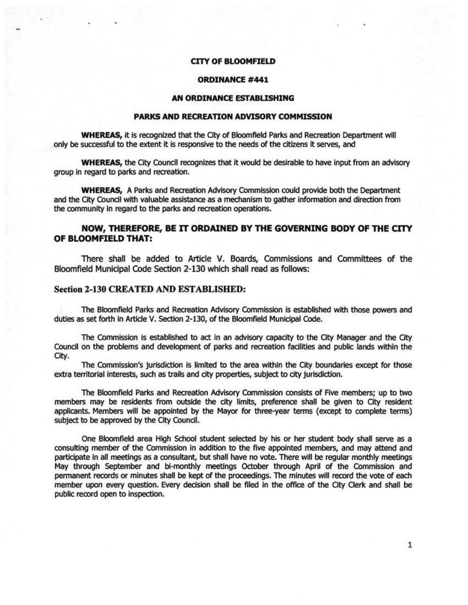## **CITY OF BLOOMFIELD**

# **ORDINANCE #441**

## **AN ORDINANCE ESTABUSHING**

# **PARKS AND RECREATION ADVISORY COMMISSION**

**WHEREAS, it is recognized that the City of Bloomfield Parks and Recreation Department will** only be successful to the extent it is responsive to the needs of the citizens it serves, and

**WHEREAS,** the City Council recognizes that it would be desirable to have input from an advisory group in regard to parks and recreation.

**WHEREAS, A Parks and Recreation Advisory Commission could provide both the Department** and the City COundl with valuable assistance as a mechanism to gather information and direction from the community in regard to the parks and recreation operations.

# **NOW, THEREFORE, BE IT ORDAINED BY THE GOVERNING BODY OF THE CITY OF BLOOMFIELD THAT:**

There shall be added to Article V. Boards, Commissions and Committees of the Bloomfield Municipal Code Section 2-130 which shall read as follows:

#### Section 2-130 CREATED AND ESTABLISHED:

The Bloomfield Parks and Recreation Advisory Commission is established with those powers and duties as set forth in Article V. Section 2-130, of the Bloomfield Municipal Code.

The Commission is established to act in an advisory capacity to the City Manager and the City Council on the problems and development of parks and recreation fadiitles and public lands within the City.

The Commission's jurisdiction is limited to the area within the City boundaries except for those extra territorial interests, such as trails and city properties, subject to city jurisdiction.

The Bloomfield Parks and Recreation Advisory Commission consists of Five members; up to two members may be residents from outside the city limits, preference shall be given to City resident applicants. Members will be appointed by the Mayor for three-year terms (except to complete terms) subject to be approved by the City Council.

One Bloomfield area High School student selected by his or her student body shall serve as a consulting member of the Commission in addition to the five appointed members, and may attend and participate in all meetings as a consultant, but shall have no vote. There will be regular monthly meetings May through 5eptember and bl-monthly meetings October through April of the commission and permanent records or minutes shall be kept of the proceedings. The minutes will record the vote of each member upon every question. Every decision shall be filed in the office of the City Clerk and shall be public record open to inspection.